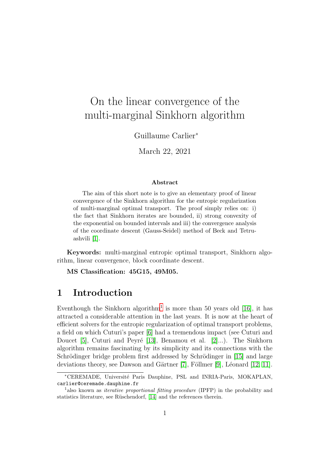# On the linear convergence of the multi-marginal Sinkhorn algorithm

Guillaume Carlier<sup>∗</sup>

March 22, 2021

#### Abstract

The aim of this short note is to give an elementary proof of linear convergence of the Sinkhorn algorithm for the entropic regularization of multi-marginal optimal transport. The proof simply relies on: i) the fact that Sinkhorn iterates are bounded, ii) strong convexity of the exponential on bounded intervals and iii) the convergence analysis of the coordinate descent (Gauss-Seidel) method of Beck and Tetruashvili [\[1\]](#page-8-0).

Keywords: multi-marginal entropic optimal transport, Sinkhorn algorithm, linear convergence, block coordinate descent.

MS Classification: 45G15, 49M05.

## 1 Introduction

Eventhough the Sinkhorn algorithm<sup>[1](#page-0-0)</sup> is more than 50 years old [\[16\]](#page-9-0), it has attracted a considerable attention in the last years. It is now at the heart of efficient solvers for the entropic regularization of optimal transport problems, a field on which Cuturi's paper [\[6\]](#page-8-1) had a tremendous impact (see Cuturi and Doucet [\[5\]](#page-8-2), Cuturi and Peyré [\[13\]](#page-9-1), Benamou et al. [\[2\]](#page-8-3)...). The Sinkhorn algorithm remains fascinating by its simplicity and its connections with the Schrödinger bridge problem first addressed by Schrödinger in [\[15\]](#page-9-2) and large deviations theory, see Dawson and Gärtner  $[7]$ , Föllmer  $[9]$ , Léonard  $[12, 11]$  $[12, 11]$ .

<sup>∗</sup>CEREMADE, Universit´e Paris Dauphine, PSL and INRIA-Paris, MOKAPLAN, carlier@ceremade.dauphine.fr

<span id="page-0-0"></span><sup>&</sup>lt;sup>1</sup>also known as *iterative proportional fitting procedure* (IPFP) in the probability and statistics literature, see Rüschendorf, [\[14\]](#page-9-5) and the references therein.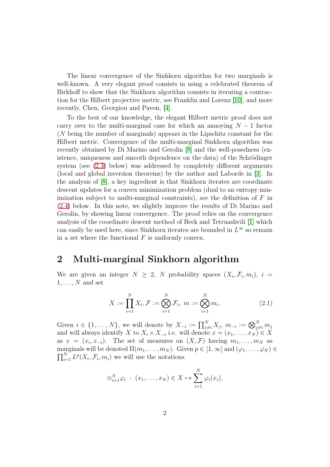The linear convergence of the Sinhkorn algorithm for two marginals is well-known. A very elegant proof consists in using a celebrated theorem of Birkhoff to show that the Sinkhorn algorithm consists in iterating a contraction for the Hilbert projective metric, see Franklin and Lorenz [\[10\]](#page-9-6), and more recently, Chen, Georgiou and Pavon, [\[4\]](#page-8-6).

To the best of our knowledge, the elegant Hilbert metric proof does not carry over to the multi-marginal case for which an annoying  $N-1$  factor (N being the number of marginals) appears in the Lipschitz constant for the Hilbert metric. Convergence of the multi-marginal Sinkhorn algorithm was recently obtained by Di Marino and Gerolin [\[8\]](#page-8-7) and the well-posedness (existence, uniqueness and smooth dependence on the data) of the Schrödinger system (see [\(2.3\)](#page-2-0) below) was addressed by completely different arguments (local and global inversion theorems) by the author and Laborde in [\[3\]](#page-8-8). In the analysis of [\[8\]](#page-8-7), a key ingredient is that Sinkhorn iterates are coordinate descent updates for a convex minimization problem (dual to an entropy minimization subject to multi-marginal constraints), see the definition of  $F$  in [\(2.4\)](#page-2-1) below. In this note, we slightly improve the results of Di Marino and Gerolin, by showing linear convergence. The proof relies on the convergence analysis of the coordinate descent method of Beck and Tetruashvili [\[1\]](#page-8-0) which can easily be used here, since Sinkhorn iterates are bounded in  $L^{\infty}$  so remain in a set where the functional  $F$  is uniformly convex.

## 2 Multi-marginal Sinkhorn algorithm

We are given an integer  $N \geq 2$ , N probability spaces  $(X_i, \mathcal{F}_i, m_i)$ ,  $i =$  $1, \ldots, N$  and set

$$
X := \prod_{i=1}^{N} X_i, \mathcal{F} := \bigotimes_{i=1}^{N} \mathcal{F}_i, \ m := \bigotimes_{i=1}^{N} m_i.
$$
 (2.1)

Given  $i \in \{1, \ldots, N\}$ , we will denote by  $X_{-i} := \prod_{j \neq i}^N X_j$ ,  $m_{-i} := \bigotimes_{j \neq i}^N m_j$ and will always identify X to  $X_i \times X_{-i}$  i.e. will denote  $x = (x_1, \ldots, x_N) \in X$ as  $x = (x_i, x_{-i})$ . The set of measures on  $(X, \mathcal{F})$  having  $m_1, \ldots, m_N$  as  $\prod_{i=1}^N L^p(X_i, \mathcal{F}_i, m_i)$  we will use the notations marginals will be denoted  $\Pi(m_1, \ldots, m_N)$ . Given  $p \in [1, \infty]$  and  $(\varphi_1, \ldots, \varphi_N) \in$ 

$$
\bigoplus_{i=1}^N \varphi_i \; : \; (x_1, \ldots, x_N) \in X \mapsto \sum_{i=1}^N \varphi_i(x_i),
$$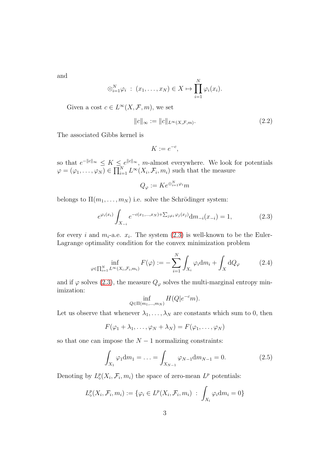and

$$
\otimes_{i=1}^N \varphi_i : (x_1, \ldots, x_N) \in X \mapsto \prod_{i=1}^N \varphi_i(x_i).
$$

Given a cost  $c \in L^{\infty}(X, \mathcal{F}, m)$ , we set

$$
||c||_{\infty} := ||c||_{L^{\infty}(X,\mathcal{F},m)}.
$$
\n
$$
(2.2)
$$

The associated Gibbs kernel is

$$
K := e^{-c},
$$

so that  $e^{-||c||_{\infty}} \leq K \leq e^{||c||_{\infty}},$  m-almost everywhere. We look for potentials  $\varphi = (\varphi_1, \ldots, \varphi_N) \in \prod_{i=1}^N L^{\infty}(X_i, \mathcal{F}_i, m_i)$  such that the measure

$$
Q_{\varphi} := K e^{\oplus_{i=1}^{N} \varphi_i} m
$$

belongs to  $\Pi(m_1, \ldots, m_N)$  i.e. solve the Schrödinger system:

<span id="page-2-0"></span>
$$
e^{\varphi_i(x_i)} \int_{X_{-i}} e^{-c(x_1,\dots,x_N) + \sum_{j\neq i} \varphi_j(x_j)} dm_{-i}(x_{-i}) = 1,
$$
 (2.3)

for every *i* and  $m_i$ -a.e.  $x_i$ . The system  $(2.3)$  is well-known to be the Euler-Lagrange optimality condition for the convex minimization problem

<span id="page-2-1"></span>
$$
\inf_{\varphi \in \prod_{i=1}^N L^\infty(X_i, \mathcal{F}_i, m_i)} F(\varphi) := -\sum_{i=1}^N \int_{X_i} \varphi_i \mathrm{d}m_i + \int_X \mathrm{d}Q_\varphi \tag{2.4}
$$

and if  $\varphi$  solves [\(2.3\)](#page-2-0), the measure  $Q_{\varphi}$  solves the multi-marginal entropy minimization:

$$
\inf_{Q \in \Pi(m_1,\dots,m_N)} H(Q|e^{-c}m).
$$

Let us observe that whenever  $\lambda_1, \ldots, \lambda_N$  are constants which sum to 0, then

$$
F(\varphi_1+\lambda_1,\ldots,\varphi_N+\lambda_N)=F(\varphi_1,\ldots,\varphi_N)
$$

so that one can impose the  $N-1$  normalizing constraints:

<span id="page-2-2"></span>
$$
\int_{X_1} \varphi_1 \mathrm{d}m_1 = \dots = \int_{X_{N-1}} \varphi_{N-1} \mathrm{d}m_{N-1} = 0. \tag{2.5}
$$

Denoting by  $L^p_{\diamond}(X_i, \mathcal{F}_i, m_i)$  the space of zero-mean  $L^p$  potentials:

$$
L^{p}_{\diamond}(X_{i}, \mathcal{F}_{i}, m_{i}) := \{ \varphi_{i} \in L^{p}(X_{i}, \mathcal{F}_{i}, m_{i}) \ : \ \int_{X_{i}} \varphi_{i} \mathrm{d}m_{i} = 0 \}
$$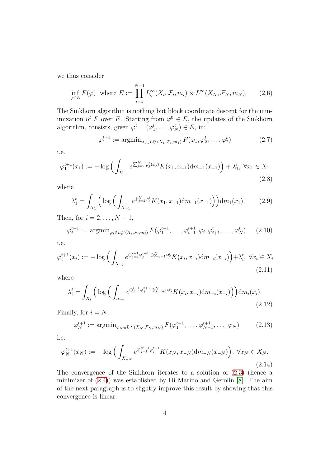we thus consider

<span id="page-3-3"></span>
$$
\inf_{\varphi \in E} F(\varphi) \text{ where } E := \prod_{i=1}^{N-1} L^{\infty}_\diamond(X_i, \mathcal{F}_i, m_i) \times L^{\infty}(X_N, \mathcal{F}_N, m_N). \tag{2.6}
$$

The Sinkhorn algorithm is nothing but block coordinate descent for the minimization of F over E. Starting from  $\varphi^0 \in E$ , the updates of the Sinkhorn algorithm, consists, given  $\varphi^t = (\varphi_1^t, \dots, \varphi_N^t) \in E$ , in:

$$
\varphi_1^{t+1} := \operatorname{argmin}_{\varphi_1 \in L^\infty_0(X_1, \mathcal{F}_1, m_1)} F(\varphi_1, \varphi_2^t, \dots, \varphi_2^t)
$$
 (2.7)

i.e.

<span id="page-3-0"></span>
$$
\varphi_1^{t+1}(x_1) := -\log\Big(\int_{X_{-1}} e^{\sum_{j=2}^N \varphi_j^t(x_j)} K(x_1, x_{-1}) \mathrm{d}m_{-1}(x_{-1})\Big) + \lambda_1^t, \ \forall x_1 \in X_1
$$
\n(2.8)

where

<span id="page-3-4"></span>
$$
\lambda_1^t = \int_{X_1} \left( \log \left( \int_{X_{-1}} e^{\oplus_{j=2}^N \varphi_j^t} K(x_1, x_{-1}) \mathrm{d}m_{-1}(x_{-1}) \right) \right) \mathrm{d}m_1(x_1). \tag{2.9}
$$

Then, for  $i = 2, \ldots, N - 1$ ,

$$
\varphi_i^{t+1} := \operatorname{argmin}_{\varphi_i \in L^\infty_o(X_i, \mathcal{F}_i, m_i)} F(\varphi_1^{t+1}, \dots, \varphi_{i-1}^{t+1}, \varphi_i, \varphi_{i+1}^t, \dots, \varphi_N^t) \qquad (2.10)
$$

i.e.

<span id="page-3-1"></span>
$$
\varphi_i^{t+1}(x_i) := -\log \Big( \int_{X_{-i}} e^{\oplus_{j=1}^{i-1} \varphi_j^{t+1} \oplus_{j=i+1}^N \varphi_j^t} K(x_i, x_{-i}) \mathrm{d}m_{-i}(x_{-i}) \Big) + \lambda_i^t, \ \forall x_i \in X_i
$$
\n(2.11)

where

$$
\lambda_i^t = \int_{X_i} \left( \log \left( \int_{X_{-i}} e^{\oplus_{j=1}^{i-1} \varphi_j^{t+1} \oplus_{j=i+1}^N \varphi_j^t} K(x_i, x_{-i}) \mathrm{d}m_{-i}(x_{-i}) \right) \right) \mathrm{d}m_i(x_i). \tag{2.12}
$$

Finally, for  $i = N$ ,

$$
\varphi_N^{t+1} := \operatorname{argmin}_{\varphi_N \in L^\infty(X_N, \mathcal{F}_N, m_N)} F(\varphi_1^{t+1}, \dots, \varphi_{N-1}^{t+1}, \dots, \varphi_N) \tag{2.13}
$$

i.e.

<span id="page-3-2"></span>
$$
\varphi_N^{t+1}(x_N) := -\log\Big(\int_{X_{-N}} e^{\oplus_{j=1}^{N-1} \varphi_j^{t+1}} K(x_N, x_{-N}) \mathrm{d}m_{-N}(x_{-N})\Big), \ \forall x_N \in X_N. \tag{2.14}
$$

The convergence of the Sinkhorn iterates to a solution of [\(2.3\)](#page-2-0) (hence a minimizer of [\(2.4\)](#page-2-1)) was established by Di Marino and Gerolin [\[8\]](#page-8-7). The aim of the next paragraph is to slightly improve this result by showing that this convergence is linear.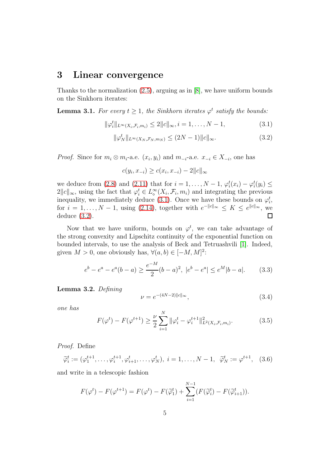#### 3 Linear convergence

Thanks to the normalization [\(2.5\)](#page-2-2), arguing as in [\[8\]](#page-8-7), we have uniform bounds on the Sinkhorn iterates:

<span id="page-4-3"></span>**Lemma 3.1.** For every  $t \geq 1$ , the Sinkhorn iterates  $\varphi^t$  satisfy the bounds:

<span id="page-4-0"></span>
$$
\|\varphi_i^t\|_{L^{\infty}(X_i, \mathcal{F}_i, m_i)} \le 2\|c\|_{\infty}, i = 1, \dots, N-1,
$$
\n(3.1)

<span id="page-4-1"></span>
$$
\|\varphi_N^t\|_{L^\infty(X_N, \mathcal{F}_N, m_N)} \le (2N - 1) \|c\|_{\infty}.\tag{3.2}
$$

*Proof.* Since for  $m_i \otimes m_i$ -a.e.  $(x_i, y_i)$  and  $m_{-i}$ -a.e.  $x_{-i} \in X_{-i}$ , one has

$$
c(y_i, x_{-i}) \ge c(x_i, x_{-i}) - 2||c||_{\infty}
$$

we deduce from [\(2.8\)](#page-3-0) and [\(2.11\)](#page-3-1) that for  $i = 1, ..., N - 1$ ,  $\varphi_i^t(x_i) - \varphi_i^t(y_i) \leq$  $2||c||_{\infty}$ , using the fact that  $\varphi_i^t \in L^{\infty}_\diamond(X_i, \mathcal{F}_i, m_i)$  and integrating the previous inequality, we immediately deduce [\(3.1\)](#page-4-0). Once we have these bounds on  $\varphi_i^t$ , for  $i = 1, ..., N - 1$ , using [\(2.14\)](#page-3-2), together with  $e^{-||c||_{\infty}} \leq K \leq e^{||c||_{\infty}}$ , we deduce [\(3.2\)](#page-4-1).  $\Box$ 

Now that we have uniform, bounds on  $\varphi^t$ , we can take advantage of the strong convexity and Lipschitz continuity of the exponential function on bounded intervals, to use the analysis of Beck and Tetruashvili [\[1\]](#page-8-0). Indeed, given  $M > 0$ , one obviously has,  $\forall (a, b) \in [-M, M]^2$ :

<span id="page-4-2"></span>
$$
e^{b} - e^{a} - e^{a}(b - a) \ge \frac{e^{-M}}{2}(b - a)^{2}, \ |e^{b} - e^{a}| \le e^{M}|b - a|.
$$
 (3.3)

<span id="page-4-5"></span>Lemma 3.2. *Defining*

<span id="page-4-6"></span>
$$
\nu = e^{-(4N-2)\|c\|_{\infty}},\tag{3.4}
$$

*one has*

<span id="page-4-4"></span>
$$
F(\varphi^t) - F(\varphi^{t+1}) \ge \frac{\nu}{2} \sum_{i=1}^N \|\varphi_i^t - \varphi_i^{t+1}\|_{L^2(X_i, \mathcal{F}_i, m_i)}^2.
$$
 (3.5)

*Proof.* Define

<span id="page-4-7"></span>
$$
\widetilde{\varphi}_i^t := (\varphi_1^{t+1}, \dots, \varphi_i^{t+1}, \varphi_{i+1}^t, \dots, \varphi_N^t), \ i = 1, \dots, N-1, \ \ \widetilde{\varphi}_N^t := \varphi^{t+1}, \ \ (3.6)
$$

and write in a telescopic fashion

$$
F(\varphi^t) - F(\varphi^{t+1}) = F(\varphi^t) - F(\widetilde{\varphi}_1^t) + \sum_{i=1}^{N-1} (F(\widetilde{\varphi}_i^t) - F(\widetilde{\varphi}_{i+1}^t)).
$$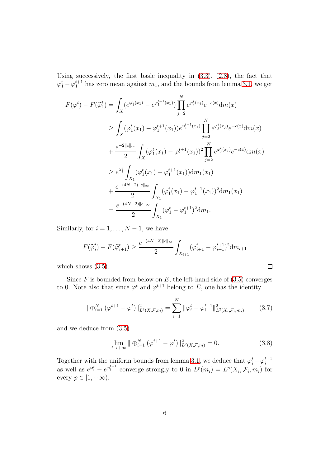Using successively, the first basic inequality in [\(3.3\)](#page-4-2), [\(2.8\)](#page-3-0), the fact that  $\varphi_1^t - \varphi_1^{t+1}$  has zero mean against  $m_1$ , and the bounds from lemma [3.1,](#page-4-3) we get

$$
F(\varphi^{t}) - F(\tilde{\varphi}_{1}^{t}) = \int_{X} (e^{\varphi_{1}^{t}(x_{1})} - e^{\varphi_{1}^{t+1}(x_{1})}) \prod_{j=2}^{N} e^{\varphi_{j}^{t}(x_{j})} e^{-c(x)} dm(x)
$$
  
\n
$$
\geq \int_{X} (\varphi_{1}^{t}(x_{1}) - \varphi_{1}^{t+1}(x_{1})) e^{\varphi_{1}^{t+1}(x_{1})} \prod_{j=2}^{N} e^{\varphi_{j}^{t}(x_{j})} e^{-c(x)} dm(x)
$$
  
\n
$$
+ \frac{e^{-2||c||_{\infty}}}{2} \int_{X} (\varphi_{1}^{t}(x_{1}) - \varphi_{1}^{t+1}(x_{1}))^{2} \prod_{j=2}^{N} e^{\varphi_{j}^{t}(x_{j})} e^{-c(x)} dm(x)
$$
  
\n
$$
\geq e^{\lambda_{1}^{t}} \int_{X_{1}} (\varphi_{1}^{t}(x_{1}) - \varphi_{1}^{t+1}(x_{1})) dm_{1}(x_{1})
$$
  
\n
$$
+ \frac{e^{-(4N-2)||c||_{\infty}}}{2} \int_{X_{1}} (\varphi_{1}^{t}(x_{1}) - \varphi_{1}^{t+1}(x_{1}))^{2} dm_{1}(x_{1})
$$
  
\n
$$
= \frac{e^{-(4N-2)||c||_{\infty}}}{2} \int_{X_{1}} (\varphi_{1}^{t} - \varphi_{1}^{t+1})^{2} dm_{1}.
$$

Similarly, for  $i = 1, \ldots, N - 1$ , we have

$$
F(\widetilde{\varphi}_i^t) - F(\widetilde{\varphi}_{i+1}^t) \ge \frac{e^{-(4N-2)||c||_{\infty}}}{2} \int_{X_{i+1}} (\varphi_{i+1}^t - \varphi_{i+1}^{t+1})^2 dm_{i+1}
$$

which shows  $(3.5)$ .

Since  $F$  is bounded from below on  $E$ , the left-hand side of [\(3.5\)](#page-4-4) converges to 0. Note also that since  $\varphi^t$  and  $\varphi^{t+1}$  belong to E, one has the identity

$$
\|\oplus_{i=1}^N (\varphi^{t+1} - \varphi^t)\|_{L^2(X,\mathcal{F},m)}^2 = \sum_{i=1}^N \|\varphi_i^t - \varphi_i^{t+1}\|_{L^2(X_i,\mathcal{F}_i,m_i)}^2 \tag{3.7}
$$

and we deduce from [\(3.5\)](#page-4-4)

$$
\lim_{t \to +\infty} \|\oplus_{i=1}^{N} (\varphi^{t+1} - \varphi^{t})\|_{L^{2}(X, \mathcal{F}, m)}^{2} = 0.
$$
\n(3.8)

Together with the uniform bounds from lemma [3.1,](#page-4-3) we deduce that  $\varphi_i^t - \varphi_i^{t+1}$ as well as  $e^{\varphi_i^t} - e^{\varphi_i^{t+1}}$  converge strongly to 0 in  $L^p(m_i) = L^p(X_i, \mathcal{F}_i, m_i)$  for every  $p \in [1, +\infty)$ .

 $\Box$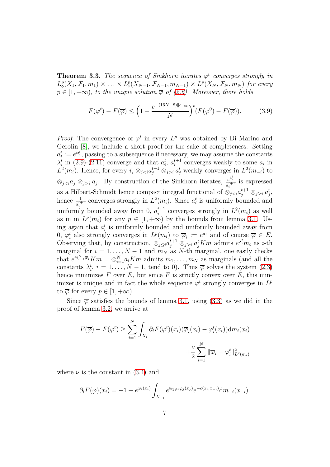**Theorem 3.3.** The sequence of Sinkhorn iterates  $\varphi^t$  converges strongly in  $L^p_{\diamond}(X_1,\mathcal{F}_1,m_1)\times \ldots \times L^p_{\diamond}(X_{N-1},\mathcal{F}_{N-1},m_{N-1})\times L^p(X_N,\mathcal{F}_N,m_N)$  for every  $p \in [1, +\infty)$ , to the unique solution  $\overline{\varphi}$  of [\(2.6\)](#page-3-3). Moreover, there holds

<span id="page-6-0"></span>
$$
F(\varphi^t) - F(\overline{\varphi}) \le \left(1 - \frac{e^{-(16N - 8)||c||_{\infty}}}{N}\right)^t (F(\varphi^0) - F(\overline{\varphi})).\tag{3.9}
$$

*Proof.* The convergence of  $\varphi^t$  in every  $L^p$  was obtained by Di Marino and Gerolin [\[8\]](#page-8-7), we include a short proof for the sake of completeness. Setting  $a_i^t := e^{\varphi_i^t}$ , passing to a subsequence if necessary, we may assume the constants  $\lambda_i^t$  in [\(2.9\)](#page-3-4)-[\(2.11\)](#page-3-1) converge and that  $a_i^t$ ,  $a_i^{t+1}$  converges weakly to some  $a_i$  in  $L^2(m_i)$ . Hence, for every  $i, \otimes_{ji} a_j^t$  weakly converges in  $L^2(m_{-i})$  to  $\otimes_{j ⊗<sub>j>i</sub>  $a_j$ . By construction of the Sinkhorn iterates,  $e^{\lambda_i^t}$$  $rac{e^{\alpha_i}}{a_i^{t+1}}$  is expressed as a Hilbert-Schmidt hence compact integral functional of  $\otimes_{ji} a_j^t$ , hence  $\frac{1}{a_i^{t+1}}$  converges strongly in  $L^2(m_i)$ . Since  $a_i^t$  is uniformly bounded and uniformly bounded away from 0,  $a_i^{t+1}$  converges strongly in  $L^2(m_i)$  as well as in in  $L^p(m_i)$  for any  $p \in [1, +\infty)$  by the bounds from lemma [3.1.](#page-4-3) Using again that  $a_i^t$  is uniformly bounded and uniformly bounded away from 0,  $\varphi_i^t$  also strongly converges in  $L^p(m_i)$  to  $\overline{\varphi}_i := e^{a_i}$  and of course  $\overline{\varphi} \in E$ . i Observing that, by construction,  $\otimes_{j\leq i} a_j^{t+1} \otimes_{j>i} a_j^t K m$  admits  $e^{\lambda_i^t} m_i$  as *i*-th marginal for  $i = 1, ..., N - 1$  and  $m_N$  as N-th marginal, one easily checks that  $e^{\bigoplus_{i=1}^{N} \overline{\varphi}_i}$  K $m = \bigotimes_{i=1}^{N} a_i K m$  admits  $m_1, \ldots, m_N$  as marginals (and all the constants  $\lambda_i^t$ ,  $i = 1, ..., N - 1$ , tend to 0). Thus  $\overline{\varphi}$  solves the system [\(2.3\)](#page-2-0) hence minimizes  $F$  over  $E$ , but since  $F$  is strictly convex over  $E$ , this minimizer is unique and in fact the whole sequence  $\varphi^t$  strongly converges in  $L^p$ to  $\overline{\varphi}$  for every  $p \in [1, +\infty)$ .

Since  $\overline{\varphi}$  satisfies the bounds of lemma [3.1,](#page-4-3) using [\(3.3\)](#page-4-2) as we did in the proof of lemma [3.2,](#page-4-5) we arrive at

$$
F(\overline{\varphi}) - F(\varphi^t) \ge \sum_{i=1}^N \int_{X_i} \partial_i F(\varphi^t)(x_i) (\overline{\varphi}_i(x_i) - \varphi_i^t(x_i)) dm_i(x_i)
$$

$$
+ \frac{\nu}{2} \sum_{i=1}^N \|\overline{\varphi}_i - \varphi_i^t\|_{L^2(m_i)}^2
$$

where  $\nu$  is the constant in [\(3.4\)](#page-4-6) and

$$
\partial_i F(\varphi)(x_i) = -1 + e^{\varphi_i(x_i)} \int_{X_{-i}} e^{\oplus_{j \neq i} \varphi_j(x_j)} e^{-c(x_i, x_{-i})} dm_{-i}(x_{-i}).
$$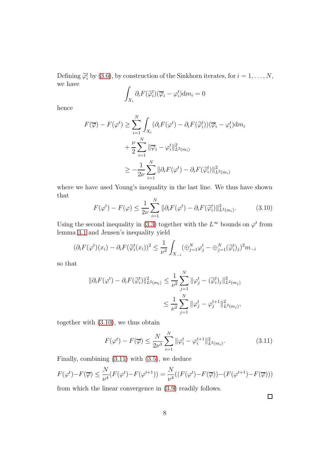Defining  $\widetilde{\varphi}_i^t$  by [\(3.6\)](#page-4-7), by construction of the Sinkhorn iterates, for  $i = 1, ..., N$ , we have

$$
\int_{X_i} \partial_i F(\widetilde{\varphi}_i^t)(\overline{\varphi}_i - \varphi_i^t) \mathrm{d}m_i = 0
$$

hence

$$
F(\overline{\varphi}) - F(\varphi^t) \ge \sum_{i=1}^N \int_{X_i} (\partial_i F(\varphi^t) - \partial_i F(\widetilde{\varphi}_i^t))(\overline{\varphi}_i - \varphi_i^t) dm_i
$$
  
+ 
$$
\frac{\nu}{2} \sum_{i=1}^N \|\overline{\varphi}_i - \varphi_i^t\|_{L^2(m_i)}^2
$$
  

$$
\ge -\frac{1}{2\nu} \sum_{i=1}^N \|\partial_i F(\varphi^t) - \partial_i F(\widetilde{\varphi}_i^t)\|_{L^2(m_i)}^2
$$

where we have used Young's inequality in the last line. We thus have shown that

<span id="page-7-0"></span>
$$
F(\varphi^t) - F(\varphi) \le \frac{1}{2\nu} \sum_{i=1}^N \|\partial_i F(\varphi^t) - \partial_i F(\widetilde{\varphi}_i^t)\|_{L^2(m_i)}^2.
$$
 (3.10)

Using the second inequality in [\(3.3\)](#page-4-2) together with the  $L^{\infty}$  bounds on  $\varphi^{t}$  from lemma [3.1](#page-4-3) and Jensen's inequality yield

$$
(\partial_i F(\varphi^t)(x_i) - \partial_i F(\widetilde{\varphi}_i^t(x_i))^2 \le \frac{1}{\nu^2} \int_{X_{-i}} (\oplus_{j=1}^N \varphi_j^t - \oplus_{j=1}^N (\widetilde{\varphi}_i^t)_j)^2 m_{-i}
$$

so that

$$
\|\partial_i F(\varphi^t) - \partial_i F(\tilde{\varphi}_i^t)\|_{L^2(m_i)}^2 \le \frac{1}{\nu^2} \sum_{j=1}^N \|\varphi_j^t - (\tilde{\varphi}_i^t)_j\|_{L^2(m_j)}^2
$$
  

$$
\le \frac{1}{\nu^2} \sum_{j=1}^N \|\varphi_j^t - \varphi_j^{t+1}\|_{L^2(m_j)}^2,
$$

together with [\(3.10\)](#page-7-0), we thus obtain

<span id="page-7-1"></span>
$$
F(\varphi^t) - F(\overline{\varphi}) \le \frac{N}{2\nu^3} \sum_{i=1}^N \|\varphi_i^t - \varphi_i^{t+1}\|_{L^2(m_i)}^2.
$$
 (3.11)

Finally, combining [\(3.11\)](#page-7-1) with [\(3.5\)](#page-4-4), we deduce

$$
F(\varphi^t) - F(\overline{\varphi}) \le \frac{N}{\nu^4} (F(\varphi^t) - F(\varphi^{t+1})) = \frac{N}{\nu^4} ((F(\varphi^t) - F(\overline{\varphi})) - (F(\varphi^{t+1}) - F(\overline{\varphi})))
$$

from which the linear convergence in [\(3.9\)](#page-6-0) readily follows.

 $\Box$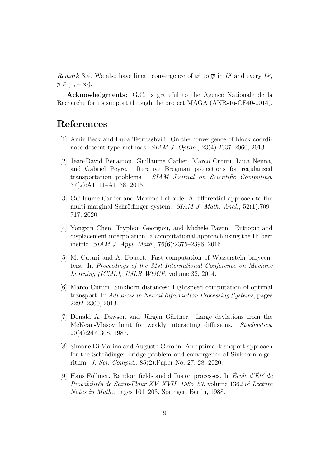*Remark* 3.4. We also have linear convergence of  $\varphi^t$  to  $\overline{\varphi}$  in  $L^2$  and every  $L^p$ ,  $p \in [1, +\infty).$ 

Acknowledgments: G.C. is grateful to the Agence Nationale de la Recherche for its support through the project MAGA (ANR-16-CE40-0014).

#### <span id="page-8-0"></span>References

- <span id="page-8-3"></span>[1] Amir Beck and Luba Tetruashvili. On the convergence of block coordinate descent type methods. *SIAM J. Optim.*, 23(4):2037–2060, 2013.
- [2] Jean-David Benamou, Guillaume Carlier, Marco Cuturi, Luca Nenna, and Gabriel Peyré. Iterative Bregman projections for regularized transportation problems. *SIAM Journal on Scientific Computing*, 37(2):A1111–A1138, 2015.
- <span id="page-8-8"></span>[3] Guillaume Carlier and Maxime Laborde. A differential approach to the multi-marginal Schrödinger system. *SIAM J. Math. Anal.*, 52(1):709– 717, 2020.
- <span id="page-8-6"></span>[4] Yongxin Chen, Tryphon Georgiou, and Michele Pavon. Entropic and displacement interpolation: a computational approach using the Hilbert metric. *SIAM J. Appl. Math.*, 76(6):2375–2396, 2016.
- <span id="page-8-2"></span>[5] M. Cuturi and A. Doucet. Fast computation of Wasserstein barycenters. In *Proceedings of the 31st International Conference on Machine Learning (ICML), JMLR W&CP*, volume 32, 2014.
- <span id="page-8-1"></span>[6] Marco Cuturi. Sinkhorn distances: Lightspeed computation of optimal transport. In *Advances in Neural Information Processing Systems*, pages 2292–2300, 2013.
- <span id="page-8-4"></span>[7] Donald A. Dawson and Jürgen Gärtner. Large deviations from the McKean-Vlasov limit for weakly interacting diffusions. *Stochastics*, 20(4):247–308, 1987.
- <span id="page-8-7"></span>[8] Simone Di Marino and Augusto Gerolin. An optimal transport approach for the Schrödinger bridge problem and convergence of Sinkhorn algorithm. *J. Sci. Comput.*, 85(2):Paper No. 27, 28, 2020.
- <span id="page-8-5"></span>[9] Hans Föllmer. Random fields and diffusion processes. In *École d'Été de Probabilit´es de Saint-Flour XV–XVII, 1985–87*, volume 1362 of *Lecture Notes in Math.*, pages 101–203. Springer, Berlin, 1988.